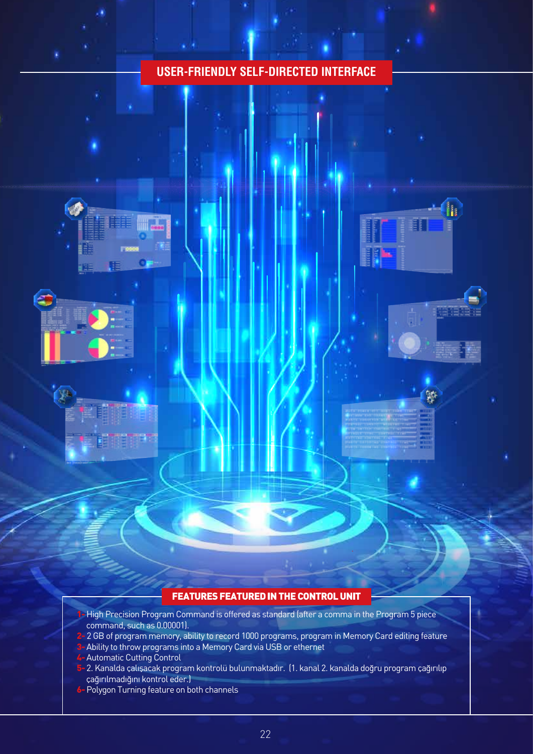## **USER-FRIENDLY SELF-DIRECTED INTERFACE**

h





## FEATURES FEATURED IN THE CONTROL UNIT

- 1- High Precision Program Command is offered as standard (after a comma in the Program 5 piece command, such as 0.00001).
- 2-2 GB of program memory, ability to record 1000 programs, program in Memory Card editing feature
- Ability to throw programs into a Memory Card via USB or ethernet
- 4- Automatic Cutting Control
- 5- 2. Kanalda çalışacak program kontrolü bulunmaktadır. (1. kanal 2. kanalda doğru program çağırılıp çağırılmadığını kontrol eder.)
- 6- Polygon Turning feature on both channels